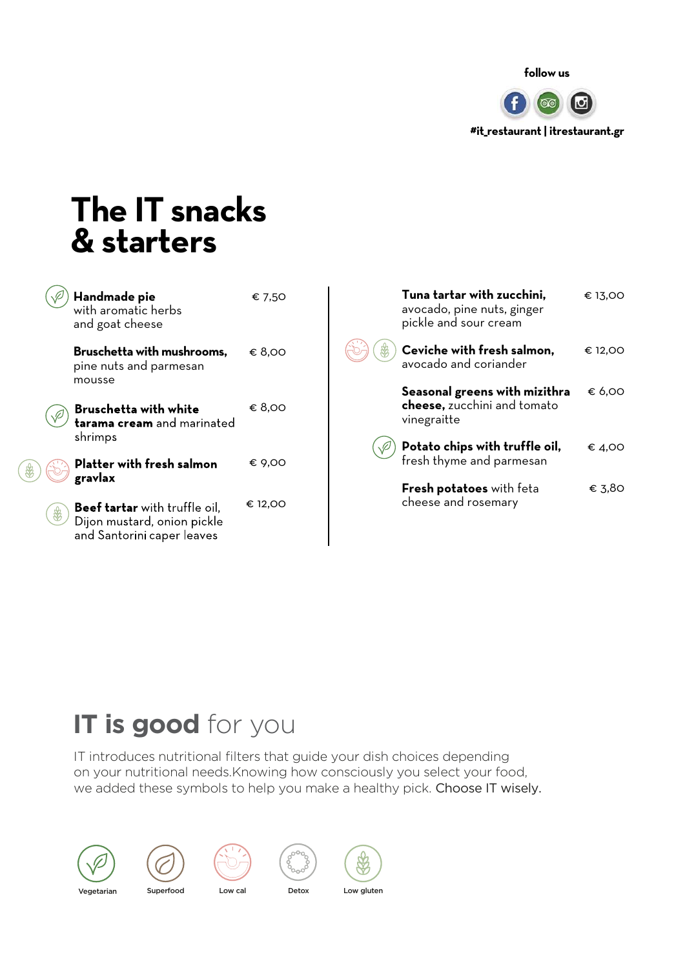

### **The IT snacks & starters**

| Handmade pie<br>with aromatic herbs<br>and goat cheese                                            | € 7,50  | Tuna tartar with zucchini,<br>avocado, pine nuts, ginger<br>pickle and sour cream | € 13,00 |
|---------------------------------------------------------------------------------------------------|---------|-----------------------------------------------------------------------------------|---------|
| Bruschetta with mushrooms,<br>pine nuts and parmesan<br>mousse                                    | € 8,00  | Ceviche with fresh salmon,<br>₩<br>avocado and coriander                          | € 12,00 |
| <b>Bruschetta with white</b><br>tarama cream and marinated                                        | € 8,00  | Seasonal greens with mizithra<br>cheese, zucchini and tomato<br>vinegraitte       | € 6,00  |
| shrimps<br>Platter with fresh salmon<br>gravlax                                                   | € 9,00  | Potato chips with truffle oil,<br>fresh thyme and parmesan                        | € 4,00  |
| <b>Beef tartar</b> with truffle oil,<br>Dijon mustard, onion pickle<br>and Santorini caper leaves | € 12,00 | Fresh potatoes with feta<br>cheese and rosemary                                   | € 3,80  |

### **IT is good** for you

IT introduces nutritional filters that guide your dish choices depending on your nutritional needs.Knowing how consciously you select your food, we added these symbols to help you make a healthy pick. Choose IT wisely.











Vegetarian Superfood Low cal Detox Low gluten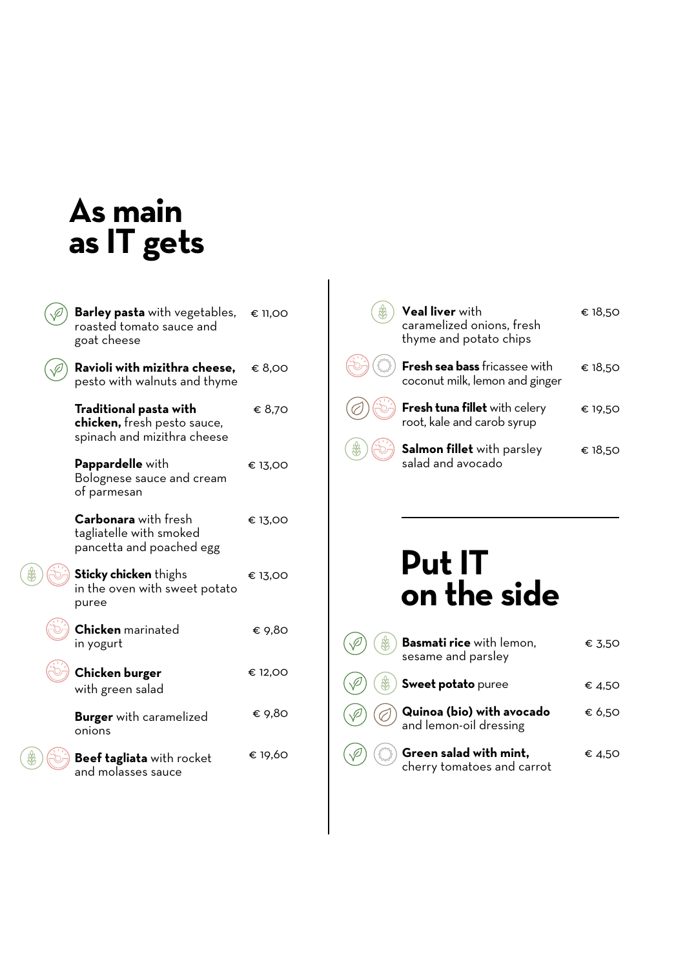### **As main as IT gets**

| <b>Barley pasta</b> with vegetables,<br>roasted tomato sauce and<br>goat cheese      | € 11,00 |
|--------------------------------------------------------------------------------------|---------|
| Ravioli with mizithra cheese,<br>pesto with walnuts and thyme                        | € 8,00  |
| Traditional pasta with<br>chicken, fresh pesto sauce,<br>spinach and mizithra cheese | € 8,70  |
| Pappardelle with<br>Bolognese sauce and cream<br>of parmesan                         | € 13,00 |
| <b>Carbonara</b> with fresh<br>tagliatelle with smoked<br>pancetta and poached egg   | € 13,00 |
| <b>Sticky chicken</b> thighs<br>in the oven with sweet potato<br>puree               | € 13,00 |
| <b>Chicken</b> marinated<br>in yogurt                                                | € 9,80  |
| Chicken burger<br>with green salad                                                   | € 12,00 |
| <b>Burger</b> with caramelized<br>onions                                             | € 9,80  |
| <b>Beef tagliata</b> with rocket<br>and molasses sauce                               | € 19,60 |

| <b>Veal liver</b> with<br>caramelized onions, fresh<br>thyme and potato chips | € 18.50 |
|-------------------------------------------------------------------------------|---------|
| Fresh sea bass fricassee with<br>coconut milk, lemon and ginger               | € 18.50 |
| Fresh tuna fillet with celery<br>root, kale and carob syrup                   | € 19.50 |
| Salmon fillet with parsley<br>salad and avocado                               | € 18.50 |

### **Put IT on the side**

|            | Basmati rice with lemon,<br>sesame and parsley             | € 3.50 |
|------------|------------------------------------------------------------|--------|
| <b>、 第</b> | Sweet potato puree                                         | € 4.50 |
|            | <b>Quinoa (bio) with avocado</b><br>and lemon-oil dressing | € 6.50 |
|            | Green salad with mint,<br>cherry tomatoes and carrot       | € 4.50 |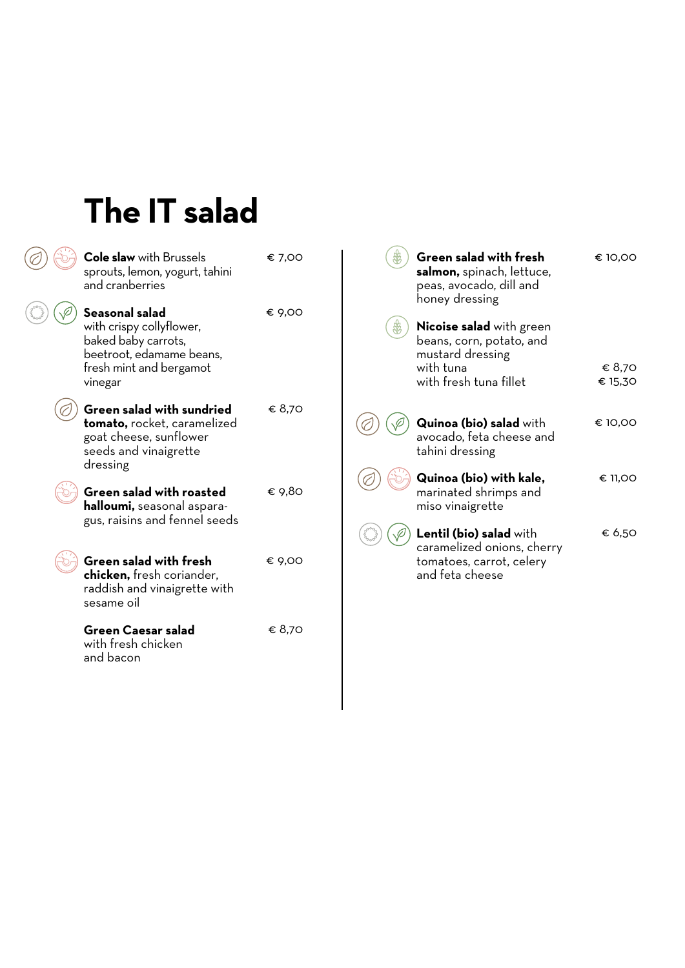## **The IT salad**

| and cranberries           | <b>Cole slaw</b> with Brussels<br>sprouts, lemon, yogurt, tahini                                            | € 7,00 |
|---------------------------|-------------------------------------------------------------------------------------------------------------|--------|
| Seasonal salad<br>vinegar | with crispy collyflower,<br>baked baby carrots,<br>beetroot, edamame beans,<br>fresh mint and bergamot      | € 9,00 |
| dressing                  | Green salad with sundried<br>tomato, rocket, caramelized<br>goat cheese, sunflower<br>seeds and vinaigrette | € 8.70 |
|                           | Green salad with roasted<br>halloumi, seasonal aspara-<br>gus, raisins and fennel seeds                     | € 9.80 |
| sesame oil                | <b>Green salad with fresh</b><br>chicken, fresh coriander,<br>raddish and vinaigrette with                  | € 9,00 |
| and bacon                 | Green Caesar salad<br>with fresh chicken                                                                    | € 8.70 |

| Green salad with fresh<br><b>salmon,</b> spinach, lettuce,<br>peas, avocado, dill and<br>honey dressing | € 10,00           |
|---------------------------------------------------------------------------------------------------------|-------------------|
| <b>Nicoise salad</b> with green<br>beans, corn, potato, and<br>mustard dressing                         |                   |
| with fresh tuna fillet                                                                                  | € 8,70<br>€ 15,30 |
| Quinoa (bio) salad with<br>avocado, feta cheese and<br>tahini dressing                                  | € 10,00           |
| Quinoa (bio) with kale,<br>marinated shrimps and<br>miso vinaigrette                                    | € 11,00           |
| Lentil (bio) salad with<br>caramelized onions, cherry<br>tomatoes, carrot, celery<br>and feta cheese    | € 6,50            |
|                                                                                                         | with tuna         |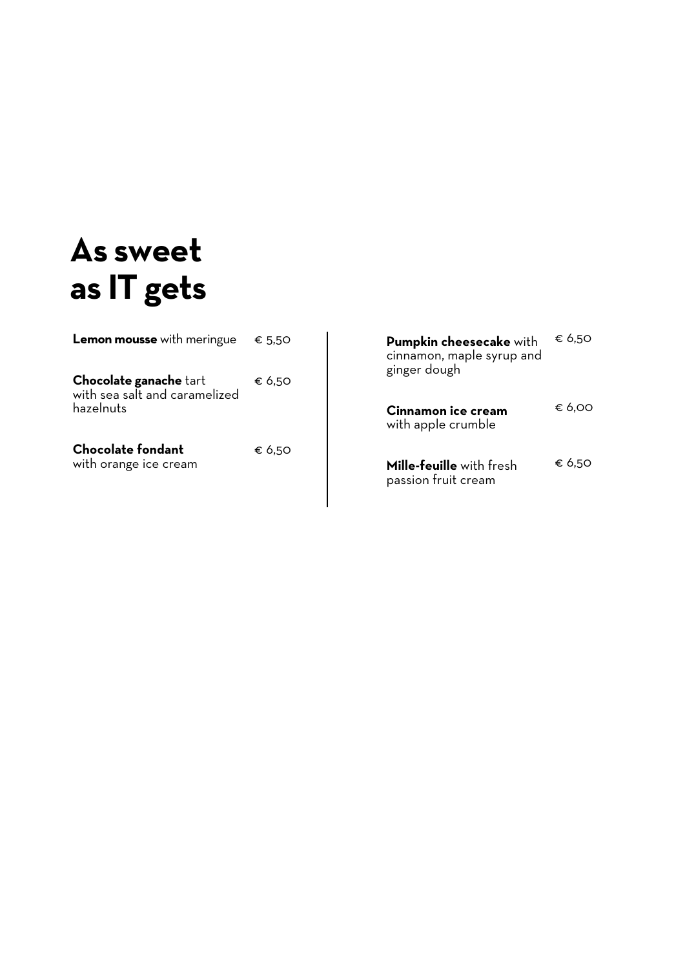## **As sweet as IT gets**

| Lemon mousse with meringue € 5,50                                           |        |
|-----------------------------------------------------------------------------|--------|
| <b>Chocolate ganache tart</b><br>with sea salt and caramelized<br>hazelnuts | € 6.50 |
| <b>Chocolate fondant</b><br>with orange ice cream                           | € 6.50 |

| Pumpkin cheesecake with<br>cinnamon, maple syrup and<br>ginger dough | € 6.50 |
|----------------------------------------------------------------------|--------|
| Cinnamon ice cream<br>with apple crumble                             | € 6.00 |
| <b>Mille-feuille</b> with fresh<br>passion fruit cream               | € 6.50 |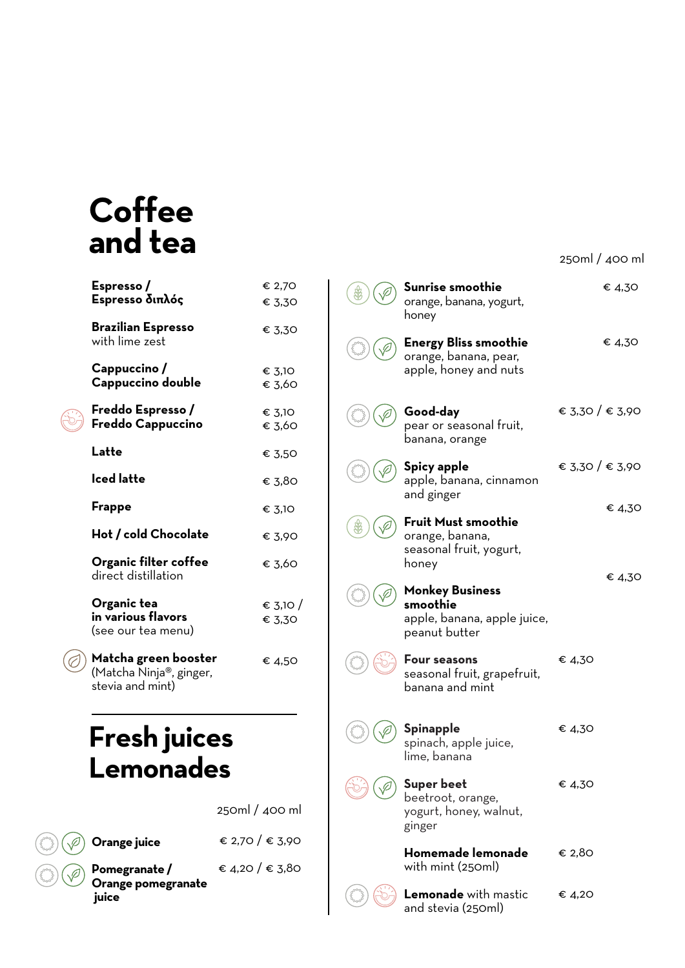## **Coffee and tea**

| Espresso/<br>Espresso διπλός                                        | € 2,70<br>€ 3,30   |
|---------------------------------------------------------------------|--------------------|
| <b>Brazilian Espresso</b><br>with lime zest                         | € 3,30             |
| Cappuccino/<br>Cappuccino double                                    | € 3,10<br>€ 3,60   |
| Freddo Espresso/<br>Freddo Cappuccino                               | € 3,10<br>€ 3,60   |
| Latte                                                               | € 3,50             |
| Iced latte                                                          | € 3,80             |
| Frappe                                                              | € 3,10             |
| Hot / cold Chocolate                                                | € 3,90             |
| Organic filter coffee<br>direct distillation                        | € 3.60             |
| Organic tea<br>in various flavors<br>(see our tea menu)             | € 3,10 /<br>€ 3,30 |
| Matcha green booster<br>(Matcha Ninja®, ginger,<br>stevia and mint) | € 4,50             |

### **Fresh juices Lemonades**

**Orange juice** 

250ml / 400 ml



€ 2,70 / € 3,90

**Pomegranate / Orange pomegranate juice** € 4,20 / € 3,80

| honey                                                                              |                 |
|------------------------------------------------------------------------------------|-----------------|
| Energy Bliss smoothie<br>orange, banana, pear,<br>apple, honey and nuts            | € 4,30          |
| Good-day<br>pear or seasonal fruit,<br>banana, orange                              | € 3,30 / € 3,90 |
| Spicy apple<br>apple, banana, cinnamon<br>and ginger                               | € 3,30 / € 3,90 |
| Fruit Must smoothie<br>orange, banana,<br>seasonal fruit, yogurt,<br>honey         | € 4,30          |
| <b>Monkey Business</b><br>smoothie<br>apple, banana, apple juice,<br>peanut butter | € 4,30          |
| <b>Four seasons</b><br>seasonal fruit, grapefruit,<br>banana and mint              | € 4.30          |
| Spinapple<br>spinach, apple juice,<br>lime, banana                                 | € 4,30          |
| <b>Super beet</b><br>beetroot, orange,<br>yogurt, honey, walnut,<br>ginger         | € 4,30          |
| Homemade lemonade                                                                  | € 2,80          |

250ml / 400 ml

€ 4,30

**Sunrise smoothie**  orange, banana, yogurt,

 $\bigcirc$ 

 $\circledast$ 

 $\bigcircledast$ 

 $(\mathcal{E}^{\infty})$ 

Pood

**Lemonade** with mastic and stevia (250ml) € 4,20

with mint (250ml)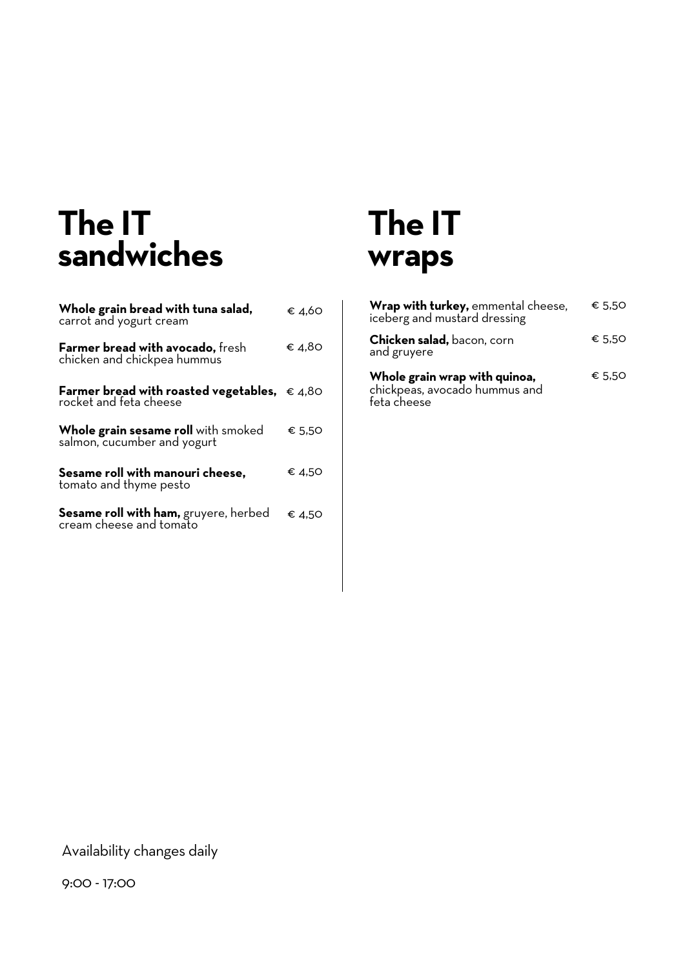## **The IT sandwiches**

| Whole grain bread with tuna salad,<br>carrot and yogurt cream                   | € 4.60 |
|---------------------------------------------------------------------------------|--------|
| <b>Farmer bread with avocado, fresh</b><br>chicken and chickpea hummus          | € 4.80 |
| Farmer bread with roasted vegetables, $\epsilon$ 4,80<br>rocket and feta cheese |        |
| <b>Whole grain sesame roll</b> with smoked<br>salmon, cucumber and yogurt       | € 5.50 |
| Sesame roll with manouri cheese,<br>tomato and thyme pesto                      | € 4,50 |
| Sesame roll with ham, gruyere, herbed<br>cream cheese and tomato                | € 4.50 |

### **The IT wraps**

| Wrap with turkey, emmental cheese,<br>iceberg and mustard dressing            | € 5.50 |
|-------------------------------------------------------------------------------|--------|
| <b>Chicken salad, bacon, corn</b><br>and gruyere                              | € 5.50 |
| Whole grain wrap with quinoa,<br>chickpeas, avocado hummus and<br>feta cheese | € 5.50 |

Availability changes daily

9:00 - 17:00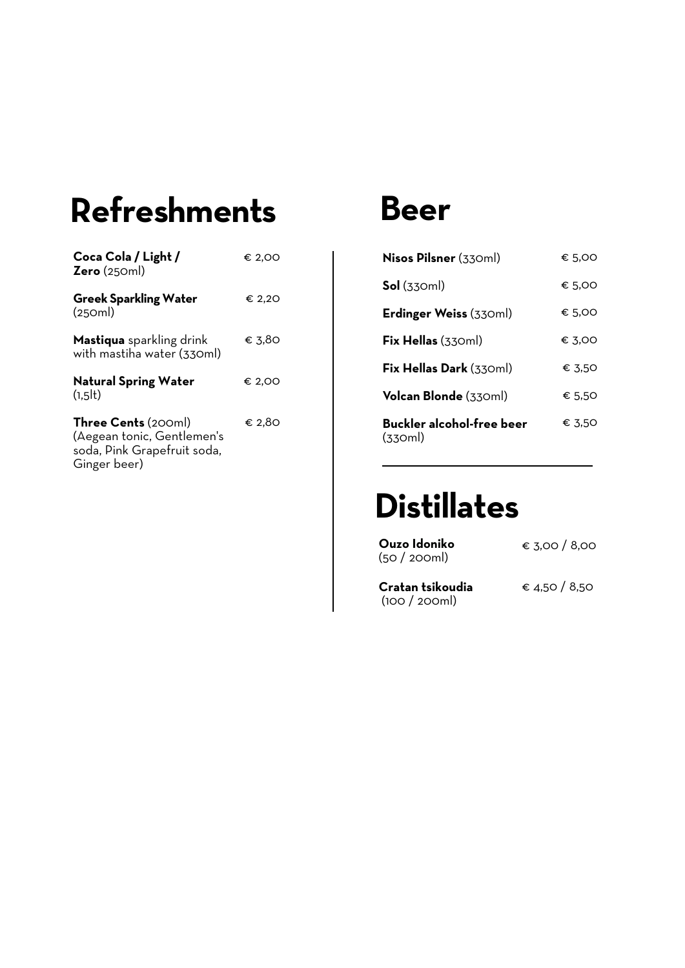# **Refreshments Beer**

| Coca Cola / Light /<br>Zero(250ml)                                                                      | € 2,00 |
|---------------------------------------------------------------------------------------------------------|--------|
| <b>Greek Sparkling Water</b><br>(250ml)                                                                 | € 2,20 |
| <b>Mastiqua</b> sparkling drink<br>with mastiha water (330ml)                                           | € 3.80 |
| <b>Natural Spring Water</b><br>(1.5)                                                                    | € 2,00 |
| <b>Three Cents</b> (200ml)<br>(Aegean tonic, Gentlemen's<br>soda, Pink Grapefruit soda,<br>Ginger beer) | € 2.80 |

| Nisos Pilsner (330ml)                | € 5.00 |
|--------------------------------------|--------|
| $Sol$ (330ml)                        | € 5.00 |
| Erdinger Weiss (330ml)               | € 5.00 |
| $Fix$ Hellas (330ml)                 | € 3.00 |
| Fix Hellas Dark (330ml)              | € 3.50 |
| Volcan Blonde (330ml)                | € 5.50 |
| Buckler alcohol-free beer<br>(330ml) | € 3.50 |

## **Distillates**

| Ouzo Idoniko<br>(50 / 200ml)         | € 3,00 / 8,00 |
|--------------------------------------|---------------|
| Cratan tsikoudia<br>$(100 / 200$ ml) | € 4.50 / 8.50 |